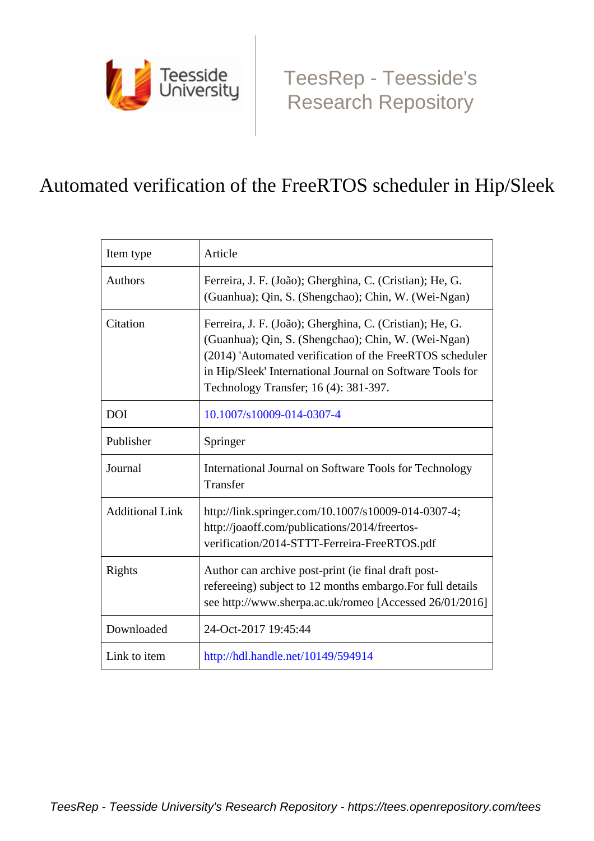

[TeesRep - Teesside's](https://tees.openrepository.com/tees) [Research Repository](https://tees.openrepository.com/tees)

# Automated verification of the FreeRTOS scheduler in Hip/Sleek

| Item type              | Article                                                                                                                                                                                                                                                                           |  |
|------------------------|-----------------------------------------------------------------------------------------------------------------------------------------------------------------------------------------------------------------------------------------------------------------------------------|--|
| <b>Authors</b>         | Ferreira, J. F. (João); Gherghina, C. (Cristian); He, G.<br>(Guanhua); Qin, S. (Shengchao); Chin, W. (Wei-Ngan)                                                                                                                                                                   |  |
| Citation               | Ferreira, J. F. (João); Gherghina, C. (Cristian); He, G.<br>(Guanhua); Qin, S. (Shengchao); Chin, W. (Wei-Ngan)<br>(2014) 'Automated verification of the FreeRTOS scheduler<br>in Hip/Sleek' International Journal on Software Tools for<br>Technology Transfer; 16 (4): 381-397. |  |
| <b>DOI</b>             | 10.1007/s10009-014-0307-4                                                                                                                                                                                                                                                         |  |
| Publisher              | Springer                                                                                                                                                                                                                                                                          |  |
| Journal                | International Journal on Software Tools for Technology<br>Transfer                                                                                                                                                                                                                |  |
| <b>Additional Link</b> | http://link.springer.com/10.1007/s10009-014-0307-4;<br>http://joaoff.com/publications/2014/freertos-<br>verification/2014-STTT-Ferreira-FreeRTOS.pdf                                                                                                                              |  |
| Rights                 | Author can archive post-print (ie final draft post-<br>refereeing) subject to 12 months embargo. For full details<br>see http://www.sherpa.ac.uk/romeo [Accessed 26/01/2016]                                                                                                      |  |
| Downloaded             | 24-Oct-2017 19:45:44                                                                                                                                                                                                                                                              |  |
| Link to item           | http://hdl.handle.net/10149/594914                                                                                                                                                                                                                                                |  |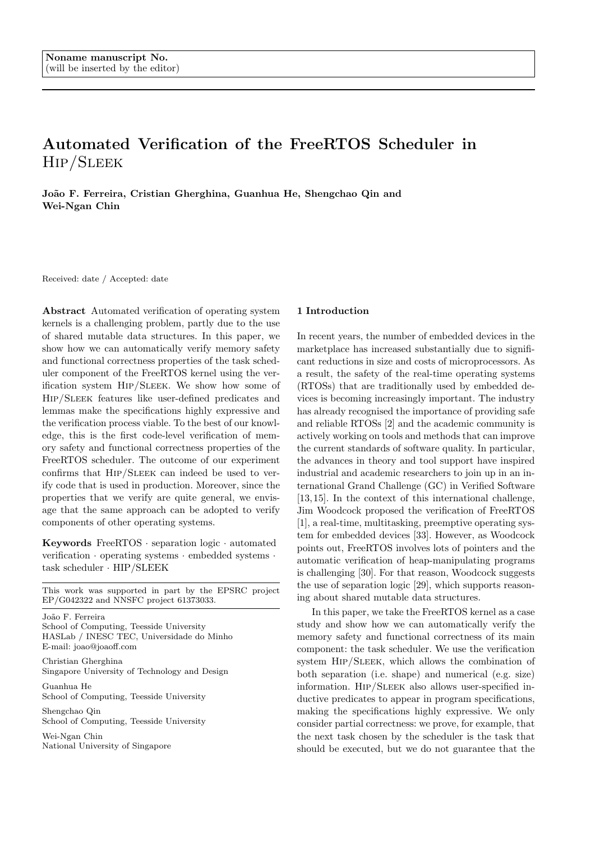# Automated Verification of the FreeRTOS Scheduler in Hip/Sleek

João F. Ferreira, Cristian Gherghina, Guanhua He, Shengchao Qin and Wei-Ngan Chin

Received: date / Accepted: date

Abstract Automated verification of operating system kernels is a challenging problem, partly due to the use of shared mutable data structures. In this paper, we show how we can automatically verify memory safety and functional correctness properties of the task scheduler component of the FreeRTOS kernel using the verification system Hip/Sleek. We show how some of Hip/Sleek features like user-defined predicates and lemmas make the specifications highly expressive and the verification process viable. To the best of our knowledge, this is the first code-level verification of memory safety and functional correctness properties of the FreeRTOS scheduler. The outcome of our experiment confirms that HIP/SLEEK can indeed be used to verify code that is used in production. Moreover, since the properties that we verify are quite general, we envisage that the same approach can be adopted to verify components of other operating systems.

Keywords FreeRTOS · separation logic · automated verification · operating systems · embedded systems · task scheduler · HIP/SLEEK

This work was supported in part by the EPSRC project EP/G042322 and NNSFC project 61373033.

João F. Ferreira School of Computing, Teesside University HASLab / INESC TEC, Universidade do Minho E-mail: joao@joaoff.com

Christian Gherghina Singapore University of Technology and Design

Guanhua He School of Computing, Teesside University

Shengchao Qin School of Computing, Teesside University

Wei-Ngan Chin National University of Singapore

# 1 Introduction

In recent years, the number of embedded devices in the marketplace has increased substantially due to significant reductions in size and costs of microprocessors. As a result, the safety of the real-time operating systems (RTOSs) that are traditionally used by embedded devices is becoming increasingly important. The industry has already recognised the importance of providing safe and reliable RTOSs [2] and the academic community is actively working on tools and methods that can improve the current standards of software quality. In particular, the advances in theory and tool support have inspired industrial and academic researchers to join up in an international Grand Challenge (GC) in Verified Software [13, 15]. In the context of this international challenge, Jim Woodcock proposed the verification of FreeRTOS [1], a real-time, multitasking, preemptive operating system for embedded devices [33]. However, as Woodcock points out, FreeRTOS involves lots of pointers and the automatic verification of heap-manipulating programs is challenging [30]. For that reason, Woodcock suggests the use of separation logic [29], which supports reasoning about shared mutable data structures.

In this paper, we take the FreeRTOS kernel as a case study and show how we can automatically verify the memory safety and functional correctness of its main component: the task scheduler. We use the verification system Hip/Sleek, which allows the combination of both separation (i.e. shape) and numerical (e.g. size) information. Hip/Sleek also allows user-specified inductive predicates to appear in program specifications, making the specifications highly expressive. We only consider partial correctness: we prove, for example, that the next task chosen by the scheduler is the task that should be executed, but we do not guarantee that the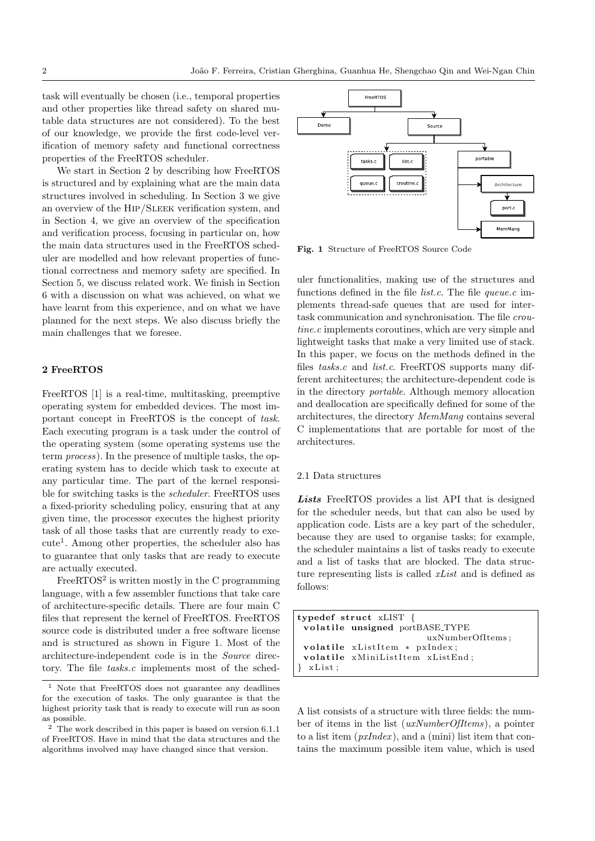task will eventually be chosen (i.e., temporal properties and other properties like thread safety on shared mutable data structures are not considered). To the best of our knowledge, we provide the first code-level verification of memory safety and functional correctness properties of the FreeRTOS scheduler.

We start in Section 2 by describing how FreeRTOS is structured and by explaining what are the main data structures involved in scheduling. In Section 3 we give an overview of the Hip/Sleek verification system, and in Section 4, we give an overview of the specification and verification process, focusing in particular on, how the main data structures used in the FreeRTOS scheduler are modelled and how relevant properties of functional correctness and memory safety are specified. In Section 5, we discuss related work. We finish in Section 6 with a discussion on what was achieved, on what we have learnt from this experience, and on what we have planned for the next steps. We also discuss briefly the main challenges that we foresee.

# 2 FreeRTOS

FreeRTOS [1] is a real-time, multitasking, preemptive operating system for embedded devices. The most important concept in FreeRTOS is the concept of task. Each executing program is a task under the control of the operating system (some operating systems use the term process). In the presence of multiple tasks, the operating system has to decide which task to execute at any particular time. The part of the kernel responsible for switching tasks is the scheduler. FreeRTOS uses a fixed-priority scheduling policy, ensuring that at any given time, the processor executes the highest priority task of all those tasks that are currently ready to execute<sup>1</sup>. Among other properties, the scheduler also has to guarantee that only tasks that are ready to execute are actually executed.

FreeRTOS<sup>2</sup> is written mostly in the C programming language, with a few assembler functions that take care of architecture-specific details. There are four main C files that represent the kernel of FreeRTOS. FreeRTOS source code is distributed under a free software license and is structured as shown in Figure 1. Most of the architecture-independent code is in the Source directory. The file tasks.c implements most of the sched-



Fig. 1 Structure of FreeRTOS Source Code

uler functionalities, making use of the structures and functions defined in the file *list.c.* The file  $queue.c$  implements thread-safe queues that are used for intertask communication and synchronisation. The file croutine.c implements coroutines, which are very simple and lightweight tasks that make a very limited use of stack. In this paper, we focus on the methods defined in the files tasks.c and list.c. FreeRTOS supports many different architectures; the architecture-dependent code is in the directory portable. Although memory allocation and deallocation are specifically defined for some of the architectures, the directory MemMang contains several C implementations that are portable for most of the architectures.

#### 2.1 Data structures

Lists FreeRTOS provides a list API that is designed for the scheduler needs, but that can also be used by application code. Lists are a key part of the scheduler, because they are used to organise tasks; for example, the scheduler maintains a list of tasks ready to execute and a list of tasks that are blocked. The data structure representing lists is called xList and is defined as follows:

```
typedef struct xLIST {
 volatile unsigned portBASE_TYPE
                         uxNumberOfItems ;
 volatile xListItem * pxIndex;
 volatile xMiniListItem xListEnd;
 x List;
```
A list consists of a structure with three fields: the number of items in the list (uxNumberOfItems), a pointer to a list item  $(pxIndex)$ , and a (mini) list item that contains the maximum possible item value, which is used

<sup>1</sup> Note that FreeRTOS does not guarantee any deadlines for the execution of tasks. The only guarantee is that the highest priority task that is ready to execute will run as soon as possible.

<sup>2</sup> The work described in this paper is based on version 6.1.1 of FreeRTOS. Have in mind that the data structures and the algorithms involved may have changed since that version.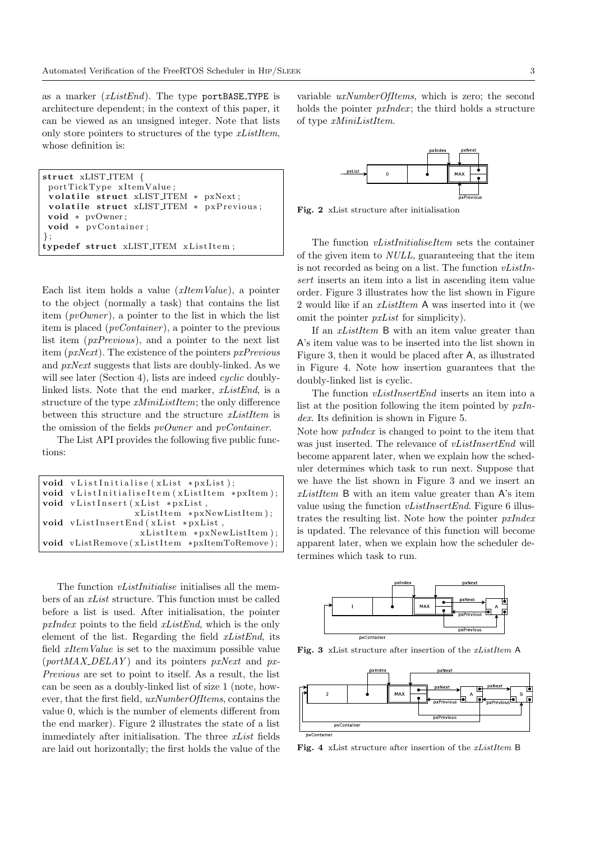as a marker  $(xListEnd)$ . The type portBASE\_TYPE is architecture dependent; in the context of this paper, it can be viewed as an unsigned integer. Note that lists only store pointers to structures of the type xListItem, whose definition is:

```
struct xLIST_ITEM {
 portTickType xItemValue ;
 volatile struct xLIST_ITEM * pxNext;
 volatile struct xLIST_ITEM * pxPrevious;
 void ∗ pvOwner ;
 void * pvContainer;
\cdottypedef struct xLIST_ITEM xListItem;
```
Each list item holds a value  $(xItemValue)$ , a pointer to the object (normally a task) that contains the list item (pvOwner), a pointer to the list in which the list item is placed  $(pvContentiner)$ , a pointer to the previous list item (pxPrevious), and a pointer to the next list item (pxNext). The existence of the pointers pxPrevious and pxNext suggests that lists are doubly-linked. As we will see later (Section 4), lists are indeed *cyclic* doublylinked lists. Note that the end marker, xListEnd, is a structure of the type  $xMinikistItem$ ; the only difference between this structure and the structure  $xListItem$  is the omission of the fields pvOwner and pvContainer.

The List API provides the following five public functions:

| void vListInitialise(xList *pxList);          |  |  |  |
|-----------------------------------------------|--|--|--|
| void vListInitialiseItem (xListItem *pxItem); |  |  |  |
| void vListInsert (xList *pxList,              |  |  |  |
| $xListItem *pxNewListItem);$                  |  |  |  |
| void vListInsertEnd(xList *pxList,            |  |  |  |
| xListItem *pxNewListItem);                    |  |  |  |
| void vListRemove(xListItem *pxItemToRemove);  |  |  |  |
|                                               |  |  |  |

The function *vListInitialise* initialises all the members of an xList structure. This function must be called before a list is used. After initialisation, the pointer  $pxIndex$  points to the field  $xListEnd$ , which is the only element of the list. Regarding the field  $xListEnd$ , its field xItemValue is set to the maximum possible value  $(portMAX$  DELAY) and its pointers pxNext and px-Previous are set to point to itself. As a result, the list can be seen as a doubly-linked list of size 1 (note, however, that the first field, uxNumberOfItems, contains the value 0, which is the number of elements different from the end marker). Figure 2 illustrates the state of a list immediately after initialisation. The three xList fields are laid out horizontally; the first holds the value of the

variable *uxNumberOfItems*, which is zero; the second holds the pointer  $pxIndex$ ; the third holds a structure of type xMiniListItem.



Fig. 2 xList structure after initialisation

The function vListInitialiseItem sets the container of the given item to NULL, guaranteeing that the item is not recorded as being on a list. The function  $vListIn$ sert inserts an item into a list in ascending item value order. Figure 3 illustrates how the list shown in Figure 2 would like if an xListItem A was inserted into it (we omit the pointer pxList for simplicity).

If an *xListItem* B with an item value greater than A's item value was to be inserted into the list shown in Figure 3, then it would be placed after A, as illustrated in Figure 4. Note how insertion guarantees that the doubly-linked list is cyclic.

The function *vListInsertEnd* inserts an item into a list at the position following the item pointed by  $pxIn$ dex. Its definition is shown in Figure 5.

Note how pxIndex is changed to point to the item that was just inserted. The relevance of *vListInsertEnd* will become apparent later, when we explain how the scheduler determines which task to run next. Suppose that we have the list shown in Figure 3 and we insert an  $xListItem$  B with an item value greater than A's item value using the function  $vListInsertEnd$ . Figure 6 illustrates the resulting list. Note how the pointer pxIndex is updated. The relevance of this function will become apparent later, when we explain how the scheduler determines which task to run.



Fig. 3 xList structure after insertion of the xListItem A



Fig. 4 xList structure after insertion of the xListItem B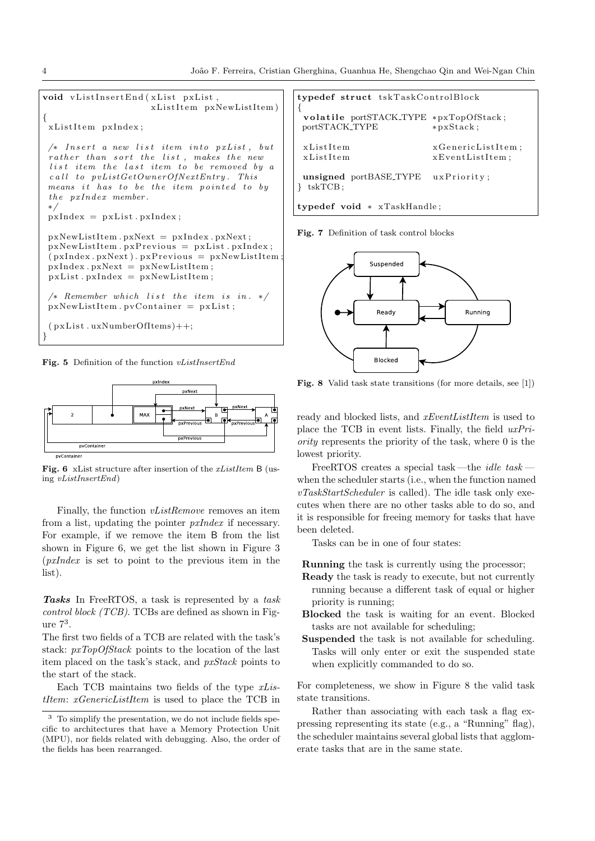

Fig. 5 Definition of the function vListInsertEnd

![](_page_4_Figure_3.jpeg)

Fig. 6 xList structure after insertion of the *xListItem* B (using vListInsertEnd)

Finally, the function *vListRemove* removes an item from a list, updating the pointer pxIndex if necessary. For example, if we remove the item B from the list shown in Figure 6, we get the list shown in Figure 3 (pxIndex is set to point to the previous item in the list).

Tasks In FreeRTOS, a task is represented by a task control block (TCB). TCBs are defined as shown in Figure 7<sup>3</sup> .

The first two fields of a TCB are related with the task's stack:  $pxTopOfStack$  points to the location of the last item placed on the task's stack, and pxStack points to the start of the stack.

Each TCB maintains two fields of the type xListItem: xGenericListItem is used to place the TCB in

| typedef struct tskTaskControlBlock                       |                                      |  |  |  |
|----------------------------------------------------------|--------------------------------------|--|--|--|
| volatile portSTACK_TYPE *pxTopOfStack;<br>portSTACK_TYPE | $*pxStack:$                          |  |  |  |
| xListItem<br>xListItem                                   | xGenericListItem;<br>xEventListItem; |  |  |  |
| unsigned portBASE_TYPE<br>tskTCB;                        | uxPriority;                          |  |  |  |
| typedef void * xTaskHandle;                              |                                      |  |  |  |

Fig. 7 Definition of task control blocks

![](_page_4_Figure_12.jpeg)

Fig. 8 Valid task state transitions (for more details, see [1])

ready and blocked lists, and *xEventListItem* is used to place the TCB in event lists. Finally, the field uxPriority represents the priority of the task, where 0 is the lowest priority.

FreeRTOS creates a special task—the *idle task* – when the scheduler starts (i.e., when the function named vTaskStartScheduler is called). The idle task only executes when there are no other tasks able to do so, and it is responsible for freeing memory for tasks that have been deleted.

Tasks can be in one of four states:

Running the task is currently using the processor;

- Ready the task is ready to execute, but not currently running because a different task of equal or higher priority is running;
- Blocked the task is waiting for an event. Blocked tasks are not available for scheduling;
- Suspended the task is not available for scheduling. Tasks will only enter or exit the suspended state when explicitly commanded to do so.

For completeness, we show in Figure 8 the valid task state transitions.

Rather than associating with each task a flag expressing representing its state (e.g., a "Running" flag), the scheduler maintains several global lists that agglomerate tasks that are in the same state.

<sup>3</sup> To simplify the presentation, we do not include fields specific to architectures that have a Memory Protection Unit (MPU), nor fields related with debugging. Also, the order of the fields has been rearranged.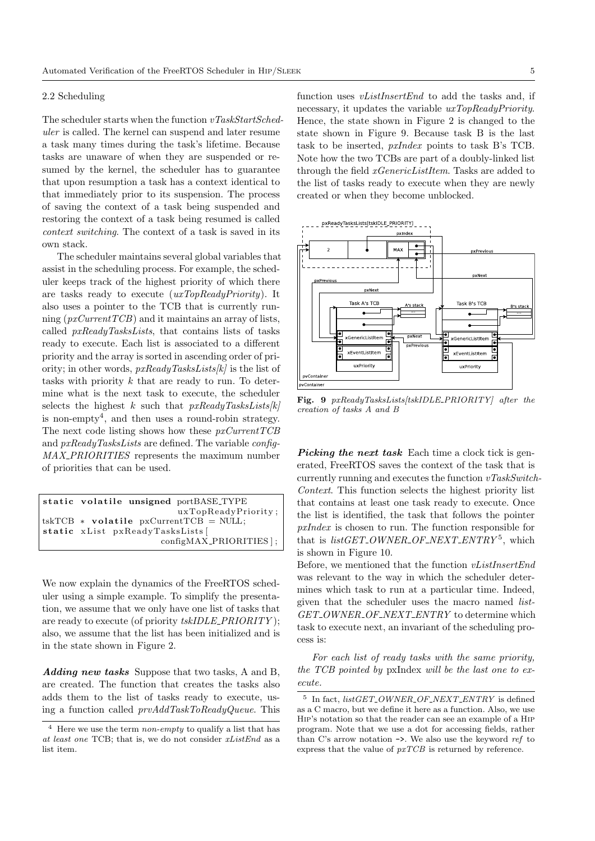# 2.2 Scheduling

The scheduler starts when the function  $vTaskStartSched$ uler is called. The kernel can suspend and later resume a task many times during the task's lifetime. Because tasks are unaware of when they are suspended or resumed by the kernel, the scheduler has to guarantee that upon resumption a task has a context identical to that immediately prior to its suspension. The process of saving the context of a task being suspended and restoring the context of a task being resumed is called context switching. The context of a task is saved in its own stack.

The scheduler maintains several global variables that assist in the scheduling process. For example, the scheduler keeps track of the highest priority of which there are tasks ready to execute (uxTopReadyPriority). It also uses a pointer to the TCB that is currently running  $(pxCurrentTCB)$  and it maintains an array of lists, called pxReadyTasksLists, that contains lists of tasks ready to execute. Each list is associated to a different priority and the array is sorted in ascending order of priority; in other words,  $pxReadyTask_{sLists}[k]$  is the list of tasks with priority k that are ready to run. To determine what is the next task to execute, the scheduler selects the highest k such that  $pxReadyTask_{sLists}[k]$ is non-empty<sup>4</sup> , and then uses a round-robin strategy. The next code listing shows how these  $pxCurrentTCB$ and pxReadyTasksLists are defined. The variable config-MAX PRIORITIES represents the maximum number of priorities that can be used.

```
static volatile unsigned portBASE_TYPE
                          uxTopReadyPriority ;
tskTCB * volatile pxCurrentTCB = NULL;static xList pxReadyTasksLists [
                       configMAX PRIORITIES ] ;
```
We now explain the dynamics of the FreeRTOS scheduler using a simple example. To simplify the presentation, we assume that we only have one list of tasks that are ready to execute (of priority  $tskIDLE\_PRIORITY$ ); also, we assume that the list has been initialized and is in the state shown in Figure 2.

Adding new tasks Suppose that two tasks, A and B, are created. The function that creates the tasks also adds them to the list of tasks ready to execute, using a function called prvAddTaskToReadyQueue. This function uses *vListInsertEnd* to add the tasks and, if necessary, it updates the variable  $uxTopReadyPriority$ . Hence, the state shown in Figure 2 is changed to the state shown in Figure 9. Because task B is the last task to be inserted, pxIndex points to task B's TCB. Note how the two TCBs are part of a doubly-linked list through the field xGenericListItem. Tasks are added to the list of tasks ready to execute when they are newly created or when they become unblocked.

![](_page_5_Figure_9.jpeg)

Fig. 9 pxReadyTasksLists[tskIDLE PRIORITY] after the creation of tasks A and B

**Picking the next task** Each time a clock tick is generated, FreeRTOS saves the context of the task that is currently running and executes the function  $vTaskSwitch$ -Context. This function selects the highest priority list that contains at least one task ready to execute. Once the list is identified, the task that follows the pointer pxIndex is chosen to run. The function responsible for that is  $listGET\_OWNER\_OF\_NEXT\_ENTRY^5$ , which is shown in Figure 10.

Before, we mentioned that the function vListInsertEnd was relevant to the way in which the scheduler determines which task to run at a particular time. Indeed, given that the scheduler uses the macro named list-GET\_OWNER\_OF\_NEXT\_ENTRY to determine which task to execute next, an invariant of the scheduling process is:

For each list of ready tasks with the same priority, the TCB pointed by pxIndex will be the last one to execute.

Here we use the term *non-empty* to qualify a list that has at least one TCB; that is, we do not consider xListEnd as a list item.

 $^5\,$  In fact,  $listGET\_OWNER\_OF\_NEXT\_ENTRY$  is defined as a C macro, but we define it here as a function. Also, we use Hip's notation so that the reader can see an example of a Hip program. Note that we use a dot for accessing fields, rather than C's arrow notation  $\rightarrow$ . We also use the keyword ref to express that the value of pxTCB is returned by reference.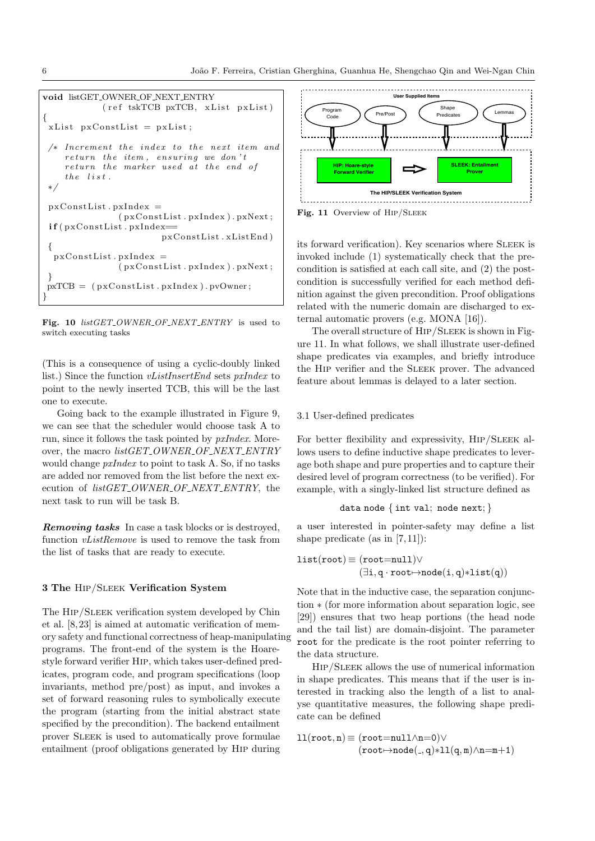```
void listGET OWNER OF NEXT ENTRY
           (r e f t s k TCB p x TCB, x List p x List){
xList pxConstList = pxList;
 /* Increment the index to the next item and
    return the item, ensuring we don't
    return the marker used at the end of
    the list.
 ∗/
pxConstList.pyxIndex =(pxConstList.pyxIndex) . p xNext;if (pxConstList.pyxIndex=pxConstList.xListEnd)
 {
  pxConstList.pyxIndex =(pxConstList.pyxIndex) . p xNext;}
pxTCB = (pxConstList.pyxIndex) . pyOwner;}
```
Fig. 10  $listGET\_OWNER\_OF\_NEXT\_ENTRY$  is used to switch executing tasks

(This is a consequence of using a cyclic-doubly linked list.) Since the function vListInsertEnd sets pxIndex to point to the newly inserted TCB, this will be the last one to execute.

Going back to the example illustrated in Figure 9, we can see that the scheduler would choose task A to run, since it follows the task pointed by pxIndex. Moreover, the macro *listGET\_OWNER\_OF\_NEXT\_ENTRY* would change pxIndex to point to task A. So, if no tasks are added nor removed from the list before the next execution of  $listGET\_OWNER\_OF\_NEXT\_ENTRY$ , the next task to run will be task B.

Removing tasks In case a task blocks or is destroyed, function vListRemove is used to remove the task from the list of tasks that are ready to execute.

# 3 The Hip/Sleek Verification System

The HIP/SLEEK verification system developed by Chin et al. [8, 23] is aimed at automatic verification of memory safety and functional correctness of heap-manipulating programs. The front-end of the system is the Hoarestyle forward verifier Hip, which takes user-defined predicates, program code, and program specifications (loop invariants, method pre/post) as input, and invokes a set of forward reasoning rules to symbolically execute the program (starting from the initial abstract state specified by the precondition). The backend entailment prover Sleek is used to automatically prove formulae entailment (proof obligations generated by Hip during

![](_page_6_Figure_8.jpeg)

Fig. 11 Overview of HIP/SLEEK

its forward verification). Key scenarios where SLEEK is invoked include (1) systematically check that the precondition is satisfied at each call site, and (2) the postcondition is successfully verified for each method definition against the given precondition. Proof obligations related with the numeric domain are discharged to external automatic provers (e.g. MONA [16]).

The overall structure of HIP/SLEEK is shown in Figure 11. In what follows, we shall illustrate user-defined shape predicates via examples, and briefly introduce the Hip verifier and the Sleek prover. The advanced feature about lemmas is delayed to a later section.

#### 3.1 User-defined predicates

For better flexibility and expressivity, HIP/SLEEK allows users to define inductive shape predicates to leverage both shape and pure properties and to capture their desired level of program correctness (to be verified). For example, with a singly-linked list structure defined as

```
data node \{ int val; node next; \}
```
a user interested in pointer-safety may define a list shape predicate (as in  $[7, 11]$ ):

$$
\begin{aligned} \texttt{list}(\texttt{root}) &\equiv (\texttt{root=null}) \vee \\ & (\exists \texttt{i}, \texttt{q} \cdot \texttt{root} \mapsto \texttt{node}(\texttt{i}, \texttt{q}) * \texttt{list}(\texttt{q})) \end{aligned}
$$

Note that in the inductive case, the separation conjunction ∗ (for more information about separation logic, see [29]) ensures that two heap portions (the head node and the tail list) are domain-disjoint. The parameter root for the predicate is the root pointer referring to the data structure.

Hip/Sleek allows the use of numerical information in shape predicates. This means that if the user is interested in tracking also the length of a list to analyse quantitative measures, the following shape predicate can be defined

$$
11(root, n) \equiv (root = null \land n = 0) \lor (root \rightarrow node(., q) * 11(q, m) \land n = m + 1)
$$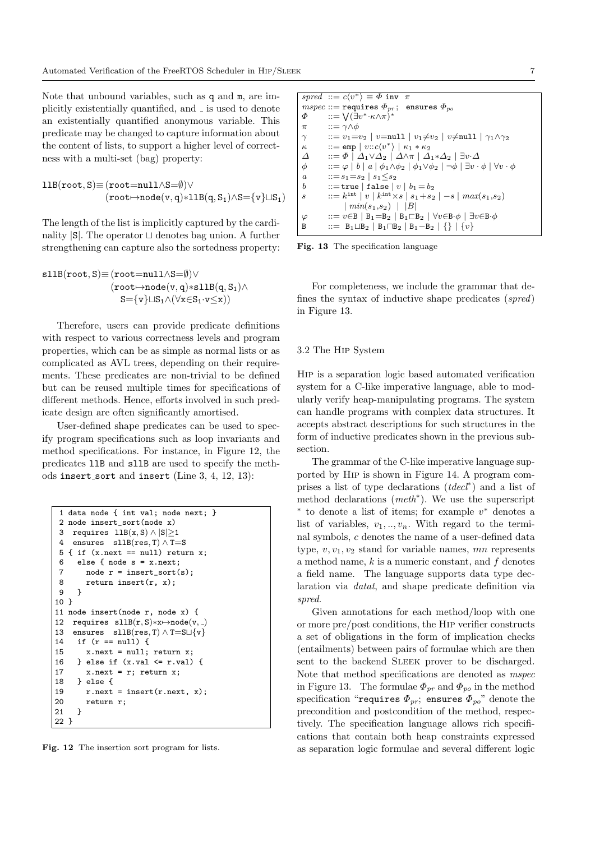Note that unbound variables, such as q and m, are implicitly existentially quantified, and  $\overline{\ }$  is used to denote an existentially quantified anonymous variable. This predicate may be changed to capture information about the content of lists, to support a higher level of correctness with a multi-set (bag) property:

$$
\begin{matrix}11B(root,S) \!\!\equiv\! (root\!\!=\!\!null\wedge\!S\!\!=\!\!\emptyset) \vee\\ (root\!\mapsto\!node(v,q)\!\ast\!11B(q,S_1)\wedge\!S\!\!=\!\{v\}\!\sqcup\!S_1)\end{matrix}
$$

The length of the list is implicitly captured by the cardinality  $|S|$ . The operator  $\sqcup$  denotes bag union. A further strengthening can capture also the sortedness property:

$$
\begin{matrix} \texttt{sllB}(\texttt{root},\texttt{S})\texttt{\equiv}(\texttt{root=null}\land\texttt{S=0}) \lor \\ (\texttt{root}\texttt{\mapsto} \texttt{node}(\texttt{v},\texttt{q})\texttt{*} \texttt{sllB}(\texttt{q},\texttt{S}_1) \land \\ \texttt{S}\texttt{\equiv}\{\texttt{v}\} \sqcup \texttt{S}_1 \land (\forall \texttt{x}\texttt{\in}\texttt{S}_1 \cdot \texttt{v}\texttt{\leq} \texttt{x}))\end{matrix}
$$

Therefore, users can provide predicate definitions with respect to various correctness levels and program properties, which can be as simple as normal lists or as complicated as AVL trees, depending on their requirements. These predicates are non-trivial to be defined but can be reused multiple times for specifications of different methods. Hence, efforts involved in such predicate design are often significantly amortised.

User-defined shape predicates can be used to specify program specifications such as loop invariants and method specifications. For instance, in Figure 12, the predicates llB and sllB are used to specify the methods insert\_sort and insert (Line 3, 4, 12, 13):

```
1 data node { int val; node next; }
 2 node insert_sort(node x)
 3 requires 11B(x, S) \wedge |S| > 14 ensures sllB(res, T) \land T=S<br>5 { if (x next == null) return
   { if (x.next == null) return x;
 6 else { node s = x.next;
 7 node r = insert_sort(s);
 8 return insert(r, x);
 9 }
10 }
11 node insert(node r, node x) {
12 requires sllB(r, S)*x \mapsto node(v, )13 ensures sllB(res, T) \land T=S\sqcup{v}
14 if (r == null) {
15 x.next = null; return x;<br>16 } else if (x.val \le r.val)} else if (x.val \leq r.val) {
17 x.next = r; return x;
18 } else {
        r.next = insert(r.next, x);20 return r;
21 }
22 }
```
Fig. 12 The insertion sort program for lists.

```
spred ::= c\langle v^* \rangle \equiv \Phi inv \pimspec ::= \text{requires } \Phi_{pr}; \text{ ensures } \Phi_{po}<br>
\Phi ::= \sqrt{(\exists v^* \cdot \kappa \wedge \pi)^*}\Phi ::= \bigvee (\exists v^* \cdot \kappa \wedge \pi)^*π ::= γΛφ
\gamma ::= v_1=v_2 \mid v=null \mid v_1\neq v_2 \mid v\neqnull \mid \gamma_1 \wedge \gamma_2\kappa ::= emp | v::c\langle v^*\rangle \mid \kappa_1 * \kappa_2\Delta ::= \Phi \mid \Delta_1 \vee \Delta_2 \mid \Delta \wedge \pi \mid \Delta_1 * \Delta_2 \mid \exists v \cdot \Delta\phi ::= \varphi | b | a | \phi_1 \wedge \phi_2 | \phi_1 \vee \phi_2 | \neg \phi | \exists v \cdot \phi | \forall v \cdot \phia :=s_1=s_2 \mid s_1 \leq s_2<br>b := \text{true} \mid \text{false}::=true | false | v | b_1 = b_2s ::= k^{\text{int}} |v| k^{\text{int}} \times s |s_1 + s_2| - s |max(s_1, s_2)| min(s_1,s_2) | |B|\varphi ::= v \in B \mid B_1 = B_2 \mid B_1 \sqsubset B_2 \mid \forall v \in B \cdot \phi \mid \exists v \in B \cdot \phiB ::= B<sub>1</sub>\BoxB<sub>2</sub> | B<sub>1</sub>\BoxB<sub>2</sub> | B<sub>1</sub>\BoxB<sub>2</sub> | {} | {v}
```
Fig. 13 The specification language

For completeness, we include the grammar that defines the syntax of inductive shape predicates (spred) in Figure 13.

# 3.2 The Hip System

Hip is a separation logic based automated verification system for a C-like imperative language, able to modularly verify heap-manipulating programs. The system can handle programs with complex data structures. It accepts abstract descriptions for such structures in the form of inductive predicates shown in the previous subsection.

The grammar of the C-like imperative language supported by Hip is shown in Figure 14. A program comprises a list of type declarations  $(tdecl^*)$  and a list of method declarations (meth<sup>∗</sup> ). We use the superscript ∗ to denote a list of items; for example v <sup>∗</sup> denotes a list of variables,  $v_1, \ldots, v_n$ . With regard to the terminal symbols, c denotes the name of a user-defined data type,  $v, v_1, v_2$  stand for variable names, mn represents a method name,  $k$  is a numeric constant, and  $f$  denotes a field name. The language supports data type declaration via datat, and shape predicate definition via spred.

Given annotations for each method/loop with one or more pre/post conditions, the Hip verifier constructs a set of obligations in the form of implication checks (entailments) between pairs of formulae which are then sent to the backend SLEEK prover to be discharged. Note that method specifications are denoted as mspec in Figure 13. The formulae  $\Phi_{pr}$  and  $\Phi_{po}$  in the method specification "requires  $\Phi_{pr}$ ; ensures  $\Phi_{po}$ " denote the precondition and postcondition of the method, respectively. The specification language allows rich specifications that contain both heap constraints expressed as separation logic formulae and several different logic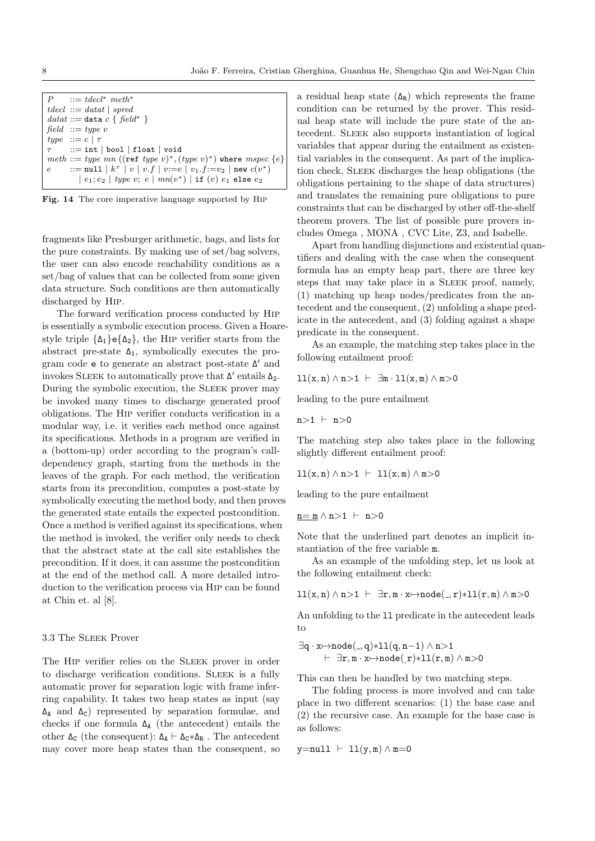| $P$ ::= tdecl <sup>*</sup> meth <sup>*</sup>                                 |
|------------------------------------------------------------------------------|
| $tdecl ::= datat   spread$                                                   |
| datat ::= data $c \{ \text{field* } \}$                                      |
| field $ ::= type v$                                                          |
| type $:= c \mid \tau$                                                        |
| $\tau$ := int   bool   float   void                                          |
| meth ::= type mn ((ref type v)*, (type v)*) where mspec $\{e\}$              |
| e ::= null   $k^{\tau}$   $v$   $v.f$   $v:=e$   $v_1.f:=v_2$   new $c(v^*)$ |
| $ e_1; e_2 $ type v; $e  mn(v^*) $ if $(v) e_1$ else $e_2$                   |

Fig. 14 The core imperative language supported by Hip

fragments like Presburger arithmetic, bags, and lists for the pure constraints. By making use of set/bag solvers, the user can also encode reachability conditions as a set/bag of values that can be collected from some given data structure. Such conditions are then automatically discharged by Hip.

The forward verification process conducted by Hip is essentially a symbolic execution process. Given a Hoarestyle triple  $\{\Delta_1\}e\{\Delta_2\}$ , the HIP verifier starts from the abstract pre-state  $\Delta_1$ , symbolically executes the program code ${\tt e}$  to generate an abstract post-state  $\Delta'$  and invokes SLEEK to automatically prove that  $\Delta'$  entails  $\Delta_2$ . During the symbolic execution, the SLEEK prover may be invoked many times to discharge generated proof obligations. The Hip verifier conducts verification in a modular way, i.e. it verifies each method once against its specifications. Methods in a program are verified in a (bottom-up) order according to the program's calldependency graph, starting from the methods in the leaves of the graph. For each method, the verification starts from its precondition, computes a post-state by symbolically executing the method body, and then proves the generated state entails the expected postcondition. Once a method is verified against its specifications, when the method is invoked, the verifier only needs to check that the abstract state at the call site establishes the precondition. If it does, it can assume the postcondition at the end of the method call. A more detailed introduction to the verification process via Hip can be found at Chin et. al [8].

#### 3.3 The Sleek Prover

The HIP verifier relies on the SLEEK prover in order to discharge verification conditions. Sleek is a fully automatic prover for separation logic with frame inferring capability. It takes two heap states as input (say  $\Delta_A$  and  $\Delta_C$ ) represented by separation formulae, and checks if one formula ∆<sup>A</sup> (the antecedent) entails the other  $\Delta_C$  (the consequent):  $\Delta_A \vdash \Delta_C * \Delta_R$ . The antecedent may cover more heap states than the consequent, so

a residual heap state  $(\Delta_R)$  which represents the frame condition can be returned by the prover. This residual heap state will include the pure state of the antecedent. Sleek also supports instantiation of logical variables that appear during the entailment as existential variables in the consequent. As part of the implication check, Sleek discharges the heap obligations (the obligations pertaining to the shape of data structures) and translates the remaining pure obligations to pure constraints that can be discharged by other off-the-shelf theorem provers. The list of possible pure provers includes Omega , MONA , CVC Lite, Z3, and Isabelle.

Apart from handling disjunctions and existential quantifiers and dealing with the case when the consequent formula has an empty heap part, there are three key steps that may take place in a Sleek proof, namely, (1) matching up heap nodes/predicates from the antecedent and the consequent, (2) unfolding a shape predicate in the antecedent, and (3) folding against a shape predicate in the consequent.

As an example, the matching step takes place in the following entailment proof:

$$
\exists 1(x,n) \land n>1 \ \vdash \ \exists m \cdot 11(x,m) \land m>0
$$

leading to the pure entailment

 $n>1$   $\vdash$   $n>0$ 

The matching step also takes place in the following slightly different entailment proof:

$$
\texttt{ll}(x,n) \land n > 1 \ \vdash \ \texttt{ll}(x,m) \land m > 0
$$

leading to the pure entailment

 $n = m \wedge n > 1$   $\vdash$  n>0

Note that the underlined part denotes an implicit instantiation of the free variable m.

As an example of the unfolding step, let us look at the following entailment check:

$$
\verb"ll"(x,n) \wedge n>1 \;\vdash\; \exists r,m\cdot x \mapsto node(\_,r)*l1(r,m) \wedge m>0
$$

An unfolding to the ll predicate in the antecedent leads to

$$
\begin{array}{l} \exists q\cdot x\!\!\mapsto\!\!{\texttt{node}}(\_,q)\!\!*\!\!11(q,n\!-\!1)\wedge n\!\!>\!\!1 \\ \vdash \ \exists r,m\cdot x\!\!\mapsto\!\!{\texttt{node}}(\_,r)\!\!*\!\!11(r,m)\wedge m\!\!>\!\!0 \end{array}
$$

This can then be handled by two matching steps.

The folding process is more involved and can take place in two different scenarios: (1) the base case and (2) the recursive case. An example for the base case is as follows:

$$
y = null + 11(y, m) \wedge m = 0
$$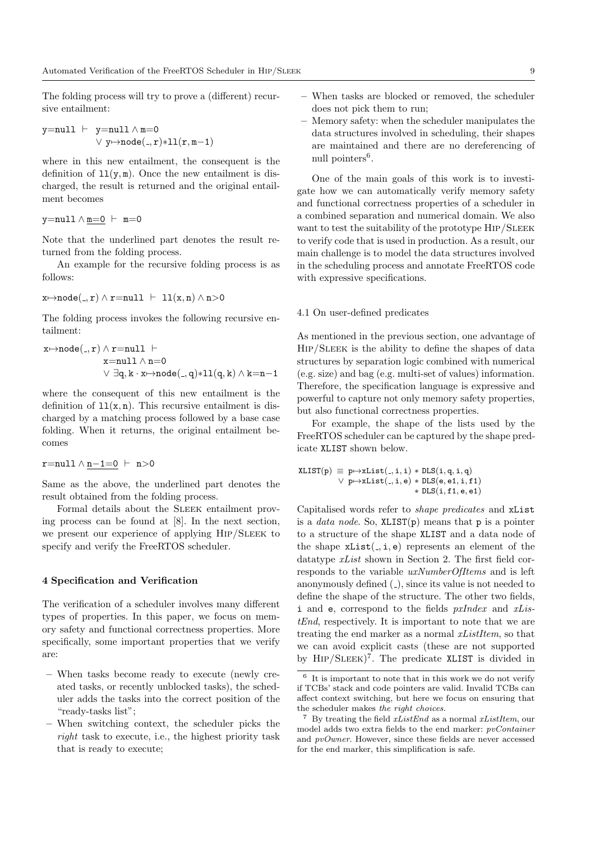The folding process will try to prove a (different) recursive entailment:

$$
\text{y=null} \ \vdash \ \text{y=null} \land \texttt{m=0} \\ \lor \ \text{y\mapsto node(.,r)} \text{*ll}(r,\texttt{m-1})
$$

where in this new entailment, the consequent is the definition of  $11(y, m)$ . Once the new entailment is discharged, the result is returned and the original entailment becomes

$$
\texttt{y=null} \land \underline{\texttt{m=0}} \ \vdash \ \texttt{m=0}
$$

Note that the underlined part denotes the result returned from the folding process.

An example for the recursive folding process is as follows:

$$
\texttt{x} \mapsto \texttt{node}(\texttt{-}, \texttt{r}) \land \texttt{r} = \texttt{null} \ \vdash \ \texttt{ll}(\texttt{x}, \texttt{n}) \land \texttt{n} > \texttt{0}
$$

The folding process invokes the following recursive entailment:

$$
\begin{aligned} x \mapsto \text{node}(\_,r) \land r = \text{null} \; &\vdash \\ x = \text{null} \land n = 0 \\ &\lor \exists q,k \cdot x \mapsto \text{node}(\_,q) * \text{ll}(q,k) \land k = n-1 \end{aligned}
$$

where the consequent of this new entailment is the definition of  $\mathbf{11}(\mathbf{x}, \mathbf{n})$ . This recursive entailment is discharged by a matching process followed by a base case folding. When it returns, the original entailment becomes

```
r=null \landn−1=0 \;\vdash\;n>0
```
Same as the above, the underlined part denotes the result obtained from the folding process.

Formal details about the Sleek entailment proving process can be found at [8]. In the next section, we present our experience of applying HIP/SLEEK to specify and verify the FreeRTOS scheduler.

#### 4 Specification and Verification

The verification of a scheduler involves many different types of properties. In this paper, we focus on memory safety and functional correctness properties. More specifically, some important properties that we verify are:

- When tasks become ready to execute (newly created tasks, or recently unblocked tasks), the scheduler adds the tasks into the correct position of the "ready-tasks list";
- When switching context, the scheduler picks the right task to execute, i.e., the highest priority task that is ready to execute;
- When tasks are blocked or removed, the scheduler does not pick them to run;
- Memory safety: when the scheduler manipulates the data structures involved in scheduling, their shapes are maintained and there are no dereferencing of null pointers<sup>6</sup>.

One of the main goals of this work is to investigate how we can automatically verify memory safety and functional correctness properties of a scheduler in a combined separation and numerical domain. We also want to test the suitability of the prototype HIP/SLEEK to verify code that is used in production. As a result, our main challenge is to model the data structures involved in the scheduling process and annotate FreeRTOS code with expressive specifications.

#### 4.1 On user-defined predicates

As mentioned in the previous section, one advantage of Hip/Sleek is the ability to define the shapes of data structures by separation logic combined with numerical (e.g. size) and bag (e.g. multi-set of values) information. Therefore, the specification language is expressive and powerful to capture not only memory safety properties, but also functional correctness properties.

For example, the shape of the lists used by the FreeRTOS scheduler can be captured by the shape predicate XLIST shown below.

 $XLIST(p) \equiv p \rightarrow xList( , i, i) * DLS(i, q, i, q)$  $\vee$  p $\mapsto$ xList(., i, e) \* DLS(e, e1, i, f1) ∗ DLS(i, f1, e, e1)

Capitalised words refer to shape predicates and xList is a *data node*. So,  $XLIST(p)$  means that p is a pointer to a structure of the shape XLIST and a data node of the shape  $xList($ , i, e) represents an element of the datatype xList shown in Section 2. The first field corresponds to the variable  $uxNumberOfItems$  and is left anonymously defined (.), since its value is not needed to define the shape of the structure. The other two fields, i and  $e$ , correspond to the fields  $pxIndex$  and  $xLis$ tEnd, respectively. It is important to note that we are treating the end marker as a normal xListItem, so that we can avoid explicit casts (these are not supported by Hip/Sleek) 7 . The predicate XLIST is divided in

It is important to note that in this work we do not verify if TCBs' stack and code pointers are valid. Invalid TCBs can affect context switching, but here we focus on ensuring that the scheduler makes the right choices.

<sup>&</sup>lt;sup>7</sup> By treating the field  $xListEnd$  as a normal  $xListItem$ , our model adds two extra fields to the end marker: pvContainer and *pvOwner*. However, since these fields are never accessed for the end marker, this simplification is safe.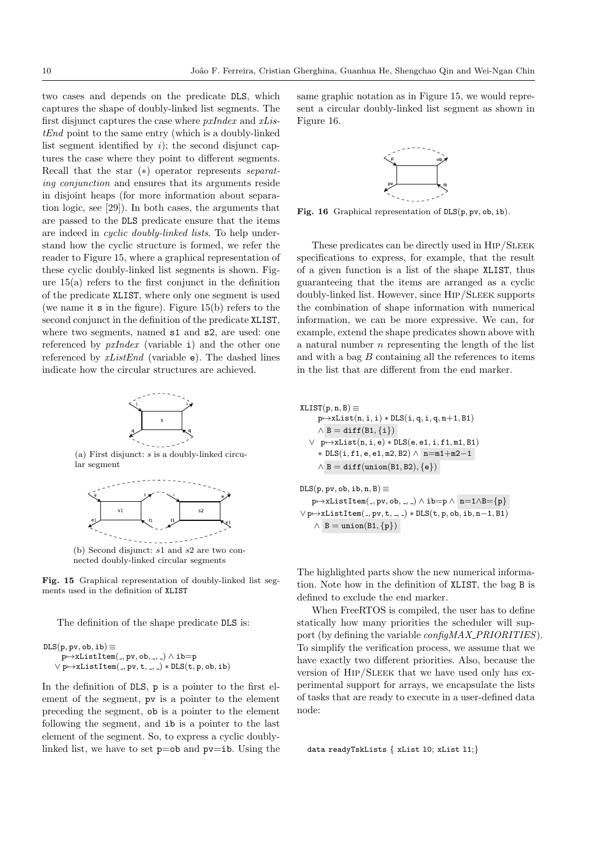two cases and depends on the predicate DLS, which captures the shape of doubly-linked list segments. The first disjunct captures the case where pxIndex and xListEnd point to the same entry (which is a doubly-linked list segment identified by  $i$ ); the second disjunct captures the case where they point to different segments. Recall that the star (∗) operator represents separating conjunction and ensures that its arguments reside in disjoint heaps (for more information about separation logic, see [29]). In both cases, the arguments that are passed to the DLS predicate ensure that the items are indeed in cyclic doubly-linked lists. To help understand how the cyclic structure is formed, we refer the reader to Figure 15, where a graphical representation of these cyclic doubly-linked list segments is shown. Figure 15(a) refers to the first conjunct in the definition of the predicate XLIST, where only one segment is used (we name it s in the figure). Figure 15(b) refers to the second conjunct in the definition of the predicate XLIST, where two segments, named  $s1$  and  $s2$ , are used: one referenced by pxIndex (variable i) and the other one referenced by  $xListEnd$  (variable e). The dashed lines indicate how the circular structures are achieved.

![](_page_10_Figure_2.jpeg)

Fig. 15 Graphical representation of doubly-linked list seg-

The definition of the shape predicate DLS is:

```
\text{DLS}(p, pv, ob, ib) \equivp \mapsto xListItem(., pv, ob, -, .) \wedge ib=p\lor p\mapstoxListItem(., pv, t, ., ) * DLS(t, p, ob, ib)
```
ments used in the definition of XLIST

In the definition of DLS, p is a pointer to the first element of the segment, pv is a pointer to the element preceding the segment, ob is a pointer to the element following the segment, and ib is a pointer to the last element of the segment. So, to express a cyclic doublylinked list, we have to set  $p=ob$  and  $pv=ib$ . Using the same graphic notation as in Figure 15, we would represent a circular doubly-linked list segment as shown in Figure 16.

![](_page_10_Figure_8.jpeg)

Fig. 16 Graphical representation of  $DIS(p, pv, ob, ib)$ .

These predicates can be directly used in HIP/SLEEK specifications to express, for example, that the result of a given function is a list of the shape XLIST, thus guaranteeing that the items are arranged as a cyclic doubly-linked list. However, since Hip/Sleek supports the combination of shape information with numerical information, we can be more expressive. We can, for example, extend the shape predicates shown above with a natural number  $n$  representing the length of the list and with a bag  $B$  containing all the references to items in the list that are different from the end marker.

$$
\begin{aligned} &\texttt{XLIST}(p,n,B)\equiv\\ &p\!\mapsto\!\texttt{xList}(n,i,i)*\texttt{DLS}(i,q,i,q,n\!+\!1,B1)\\ &\land B = \texttt{diff}(B1,\{i\})\\ &\lor p\!\mapsto\!\texttt{xList}(n,i,e)*\texttt{DLS}(e,e1,i,f1,m1,B1)\\ &\quad *\!\texttt{DLS}(i,f1,e,e1,m2,B2) \land n\!=\!m1\!+\!m2\!-\!1\\ &\land B = \texttt{diff}(\texttt{union}(B1,B2),\{e\})\\ &\texttt{DLS}(p,pv,o,b,ib,n,B)\equiv \end{aligned}
$$

 $p \mapsto xListItem($ ,  $pv, ob,$ ,  $) \wedge ib=p \wedge n=1 \wedge B=\{p\}$  $\lor$  p $\mapsto$ xListItem(-, pv, t, -, -) \* DLS(t, p, ob, ib, n-1, B1)  $\land$  B = union(B1, {p})

The highlighted parts show the new numerical information. Note how in the definition of XLIST, the bag B is defined to exclude the end marker.

When FreeRTOS is compiled, the user has to define statically how many priorities the scheduler will support (by defining the variable  $\text{configMAX\_PRIORITIES}$ ). To simplify the verification process, we assume that we have exactly two different priorities. Also, because the version of HIP/SLEEK that we have used only has experimental support for arrays, we encapsulate the lists of tasks that are ready to execute in a user-defined data node:

data readyTskLists { xList l0; xList l1;}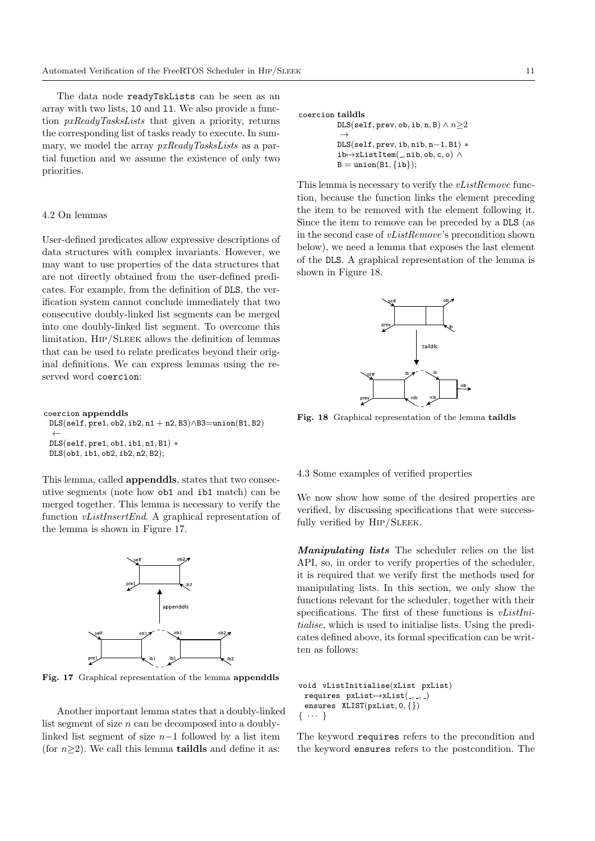The data node readyTskLists can be seen as an array with two lists, l0 and l1. We also provide a function pxReadyTasksLists that given a priority, returns the corresponding list of tasks ready to execute. In summary, we model the array  $pxReadyTask_{sLists}$  as a partial function and we assume the existence of only two priorities.

#### 4.2 On lemmas

User-defined predicates allow expressive descriptions of data structures with complex invariants. However, we may want to use properties of the data structures that are not directly obtained from the user-defined predicates. For example, from the definition of DLS, the verification system cannot conclude immediately that two consecutive doubly-linked list segments can be merged into one doubly-linked list segment. To overcome this limitation, Hip/Sleek allows the definition of lemmas that can be used to relate predicates beyond their original definitions. We can express lemmas using the reserved word coercion:

coercion appenddls DLS(self, pre1, ob2, ib2, n1 + n2, B3)∧B3=union(B1, B2) ← DLS(self, pre1, ob1, ib1, n1, B1) ∗ DLS(ob1, ib1, ob2, ib2, n2, B2);

This lemma, called appenddls, states that two consecutive segments (note how ob1 and ib1 match) can be merged together. This lemma is necessary to verify the function vListInsertEnd. A graphical representation of the lemma is shown in Figure 17.

![](_page_11_Figure_6.jpeg)

Fig. 17 Graphical representation of the lemma appenddls

Another important lemma states that a doubly-linked list segment of size  $n$  can be decomposed into a doublylinked list segment of size  $n-1$  followed by a list item (for  $n\geq 2$ ). We call this lemma **taildls** and define it as:

coercion taildls

```
\mathtt{DLS}(\mathtt{self}, \mathtt{prev}, \mathtt{ob}, \mathtt{ib}, \mathtt{n}, \mathtt{B}) \land n{\geq}2\rightarrowDLS(self, prev, ib, nib, n−1, B1) ∗
ib \mapsto xListItem(, nib, ob, c, o) \wedgeB = union(B1, \{ib\});
```
This lemma is necessary to verify the *vListRemove* function, because the function links the element preceding the item to be removed with the element following it. Since the item to remove can be preceded by a DLS (as in the second case of vListRemove's precondition shown below), we need a lemma that exposes the last element of the DLS. A graphical representation of the lemma is shown in Figure 18.

![](_page_11_Figure_12.jpeg)

Fig. 18 Graphical representation of the lemma taildls

# 4.3 Some examples of verified properties

We now show how some of the desired properties are verified, by discussing specifications that were successfully verified by HIP/SLEEK.

Manipulating lists The scheduler relies on the list API, so, in order to verify properties of the scheduler, it is required that we verify first the methods used for manipulating lists. In this section, we only show the functions relevant for the scheduler, together with their specifications. The first of these functions is *vListIni*tialise, which is used to initialise lists. Using the predicates defined above, its formal specification can be written as follows:

```
void vListInitialise(xList pxList)
 requires pxList\mapsto xList(, , )ensures XLIST(pxList, 0, {})
\{\cdots\}
```
The keyword requires refers to the precondition and the keyword ensures refers to the postcondition. The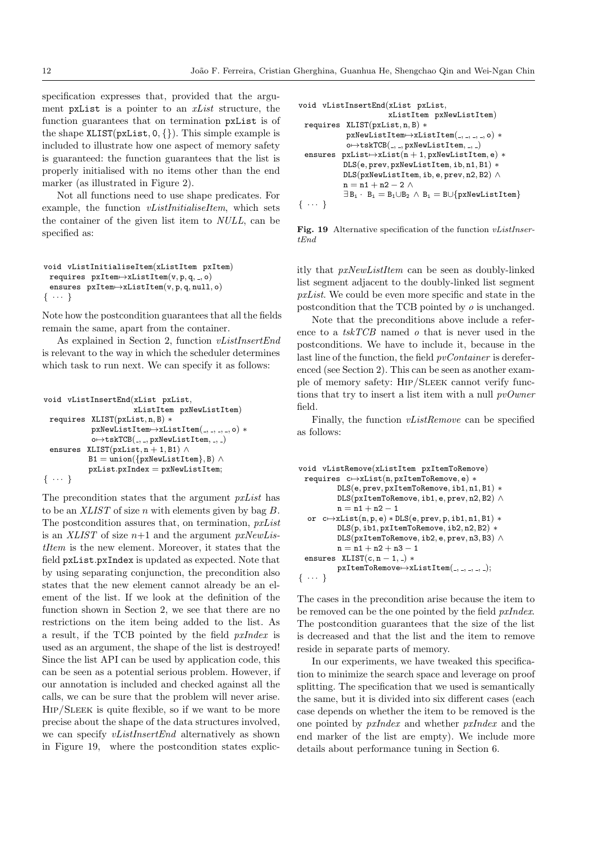specification expresses that, provided that the argument pxList is a pointer to an xList structure, the function guarantees that on termination pxList is of the shape  $XLIST(pxList, 0, \{\})$ . This simple example is included to illustrate how one aspect of memory safety is guaranteed: the function guarantees that the list is properly initialised with no items other than the end marker (as illustrated in Figure 2).

Not all functions need to use shape predicates. For example, the function *vListInitialiseItem*, which sets the container of the given list item to NULL, can be specified as:

```
void vListInitialiseItem(xListItem pxItem)
 requires pxItem \rightarrow xListItem(v, p, q, ..., o)ensures pxItem \rightarrow xListItem(v, p, q, null, o)\{ \cdots \}
```
Note how the postcondition guarantees that all the fields remain the same, apart from the container.

As explained in Section 2, function vListInsertEnd is relevant to the way in which the scheduler determines which task to run next. We can specify it as follows:

```
void vListInsertEnd(xList pxList,
                        xListItem pxNewListItem)
 requires XLIST(pxList, n, B) ∗
            pxNewListItem\rightarrow xListItem(, , , , , o) *
             o \mapsto tskTCB(, , , pxNewListItem, , , )ensures XLIST(pxList, n + 1, B1) \wedgeB1 = union({p}xNewListItem}, B) \wedge{\tt pxList.pxIndex=pxNewListItem};{ · · · }
```
The precondition states that the argument pxList has to be an  $XLIST$  of size n with elements given by bag  $B$ . The postcondition assures that, on termination, *pxList* is an XLIST of size  $n+1$  and the argument pxNewListItem is the new element. Moreover, it states that the field pxList.pxIndex is updated as expected. Note that by using separating conjunction, the precondition also states that the new element cannot already be an element of the list. If we look at the definition of the function shown in Section 2, we see that there are no restrictions on the item being added to the list. As a result, if the TCB pointed by the field pxIndex is used as an argument, the shape of the list is destroyed! Since the list API can be used by application code, this can be seen as a potential serious problem. However, if our annotation is included and checked against all the calls, we can be sure that the problem will never arise. Hip/Sleek is quite flexible, so if we want to be more precise about the shape of the data structures involved, we can specify *vListInsertEnd* alternatively as shown in Figure 19, where the postcondition states explic-

```
void vListInsertEnd(xList pxList,
                         xListItem pxNewListItem)
 requires XLIST(pxList, n, B) ∗
             pxNewListItem\rightarrow xListItem(, , , , , o) *
             o \mapsto tskTCB(, , , pxNewListItem, , , )ensures pxList\mapsto xList(n + 1, pxNewListItem, e) *DLS(e, prev, pxNewListItem, ib, n1, B1) ∗
             DLS(pxNewListItem, ib, e, prev, n2, B2) ∧
             n = n1 + n2 - 2 \wedge\exists B_i \cdot B_i = B_1 \cup B_2 \land B_i = B \cup \{pxNewListItem\}\{ \cdots \}
```
Fig. 19 Alternative specification of the function *vListInser*tEnd

itly that pxNewListItem can be seen as doubly-linked list segment adjacent to the doubly-linked list segment pxList. We could be even more specific and state in the postcondition that the TCB pointed by o is unchanged.

Note that the preconditions above include a reference to a  $tskTCB$  named  $o$  that is never used in the postconditions. We have to include it, because in the last line of the function, the field *pvContainer* is dereferenced (see Section 2). This can be seen as another example of memory safety: Hip/Sleek cannot verify functions that try to insert a list item with a null  $pvOwner$ field.

Finally, the function vListRemove can be specified as follows:

```
void vListRemove(xListItem pxItemToRemove)
 requires c\mapstoxList(n, pxItemToRemove, e) *
           DLS(e, prev, pxItemToRemove, ib1, n1, B1) ∗
           DLS(pxItemToRemove, ib1, e, prev, n2, B2) ∧
           n = n1 + n2 - 1or c \mapsto xList(n, p, e) * DLS(e, prev, p, ib1, n1, B1) *DLS(p, ib1, pxItemToRemove, ib2, n2, B2) ∗
           DLS(pxItemToRemove, ib2, e, prev, n3, B3) ∧
           \mathtt{n}=\mathtt{n1}+\mathtt{n2}+\mathtt{n3}-\mathtt{1}ensures KLIST(c, n - 1, ) *
           pxItemToRemove\rightarrow xListItem( , , , , , , _);\{ \cdots \}
```
The cases in the precondition arise because the item to be removed can be the one pointed by the field pxIndex. The postcondition guarantees that the size of the list is decreased and that the list and the item to remove reside in separate parts of memory.

In our experiments, we have tweaked this specification to minimize the search space and leverage on proof splitting. The specification that we used is semantically the same, but it is divided into six different cases (each case depends on whether the item to be removed is the one pointed by pxIndex and whether pxIndex and the end marker of the list are empty). We include more details about performance tuning in Section 6.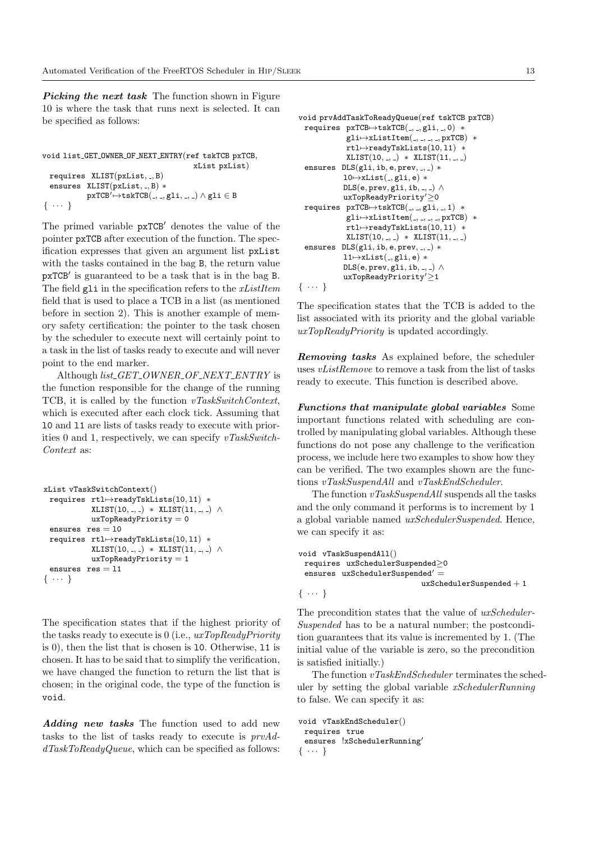**Picking the next task** The function shown in Figure 10 is where the task that runs next is selected. It can be specified as follows:

```
void list GET OWNER OF NEXT ENTRY(ref tskTCB pxTCB,
                                                    xList pxList)
  requires XLIST(pxList, \_, B)ensures XLIST(pxList, _, B) *
                \texttt{pxTCB}^\prime \mapsto \texttt{tskTCB}(\_,\_,\text{gli},\_,\_) \land \texttt{gli} \in \texttt{B}\{ \cdots \}
```
The primed variable  $pxTCB'$  denotes the value of the pointer pxTCB after execution of the function. The specification expresses that given an argument list pxList with the tasks contained in the bag B, the return value pxTCB' is guaranteed to be a task that is in the bag B. The field  $g1$  in the specification refers to the  $xListItem$ field that is used to place a TCB in a list (as mentioned before in section 2). This is another example of memory safety certification: the pointer to the task chosen by the scheduler to execute next will certainly point to a task in the list of tasks ready to execute and will never point to the end marker.

Although list\_GET\_OWNER\_OF\_NEXT\_ENTRY is the function responsible for the change of the running TCB, it is called by the function vTaskSwitchContext, which is executed after each clock tick. Assuming that l0 and l1 are lists of tasks ready to execute with priorities 0 and 1, respectively, we can specify  $vTaskSwitch-$ Context as:

```
xList vTaskSwitchContext()
 requires rtl⊢>readyTskLists(10.11) *
           XLIST(10, , , ) * XLIST(11, , , ) \wedgeuxTopReadyPriority = 0ensures res = 10requires rtl⊢>readyTskLists(10,11) *
           XLIST(10, -, -) * XLIST(11, -, -) \wedgeuxTopReadyPriority = 1ensures res = 11\{ \cdots \}
```
The specification states that if the highest priority of the tasks ready to execute is 0 (i.e.,  $uxTopReadyPriority$ ) is 0), then the list that is chosen is l0. Otherwise, l1 is chosen. It has to be said that to simplify the verification, we have changed the function to return the list that is chosen; in the original code, the type of the function is void.

Adding new tasks The function used to add new tasks to the list of tasks ready to execute is prvAd $dTaskToReadyQueue$ , which can be specified as follows:

```
void prvAddTaskToReadyQueue(ref tskTCB pxTCB)
 requires pxTCB\mapsto tskTCB(, , gli, , 0) *
               gli\mapsto xListItem(, , , , pxTCB) *rtl⊢readyTskLists(10,11) *
               XLIST(10, -, -) * XLIST(11, -, -)ensures DIS(gli, ib, e, prev, -, -) *
              10 \mapsto xList(, gli, e) *
              \texttt{DLS}(e, \texttt{prev}, \texttt{gli}, \texttt{ib}, \_, \_) \wedgeuxTopReadyPriority'\geq0\verb|requires pyTCB|\!\!\rightarrow\!\! \verb|tskTCB(\_,\_,gli,\_,1)\; *gli\mapsto xListItem(, , , , pxTCB) *
               rtl⊢readyTskLists(10,11) *
               XLIST(10, -, -) * XLIST(11, -, -)ensures DIS(gli, ib, e, prev, -, -) *11 \mapsto xList(, gli, e) *
              \texttt{DLS}(e, \texttt{prev}, \texttt{gli}, \texttt{ib}, \_, \_) \wedgeuxTopReadyPriority'≥1
{ · · · }
```
The specification states that the TCB is added to the list associated with its priority and the global variable uxTopReadyPriority is updated accordingly.

Removing tasks As explained before, the scheduler uses *vListRemove* to remove a task from the list of tasks ready to execute. This function is described above.

Functions that manipulate global variables Some important functions related with scheduling are controlled by manipulating global variables. Although these functions do not pose any challenge to the verification process, we include here two examples to show how they can be verified. The two examples shown are the functions vTaskSuspendAll and vTaskEndScheduler.

The function  $vTaskSuspendAll$  suspends all the tasks and the only command it performs is to increment by 1 a global variable named uxSchedulerSuspended. Hence, we can specify it as:

```
void vTaskSuspendAll()
 requires uxSchedulerSuspended≥0
 ensures uxSchedulerSuspended' ={\tt uxScheduling} {\tt C}\{\cdots\}
```
The precondition states that the value of uxScheduler-Suspended has to be a natural number; the postcondition guarantees that its value is incremented by 1. (The initial value of the variable is zero, so the precondition is satisfied initially.)

The function  $vTaskEndScheduling$  terminates the scheduler by setting the global variable xSchedulerRunning to false. We can specify it as:

```
void vTaskEndScheduler()
 requires true
 ensures !xSchedulerRunning'
{ · · · }
```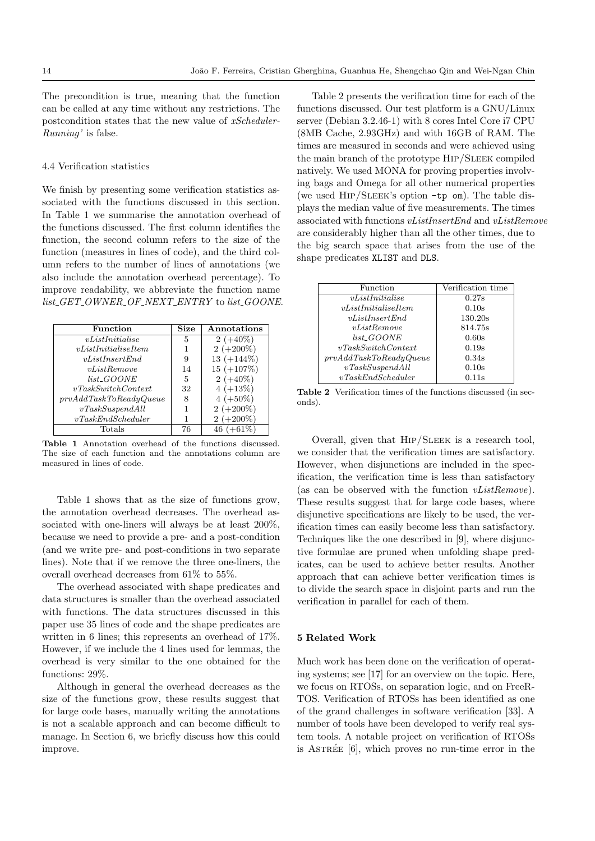The precondition is true, meaning that the function can be called at any time without any restrictions. The postcondition states that the new value of xScheduler-Running' is false.

#### 4.4 Verification statistics

We finish by presenting some verification statistics associated with the functions discussed in this section. In Table 1 we summarise the annotation overhead of the functions discussed. The first column identifies the function, the second column refers to the size of the function (measures in lines of code), and the third column refers to the number of lines of annotations (we also include the annotation overhead percentage). To improve readability, we abbreviate the function name list\_GET\_OWNER\_OF\_NEXT\_ENTRY to list\_GOONE.

| Function               | <b>Size</b> | Annotations  |
|------------------------|-------------|--------------|
| vListInitialise        | 5           | $2 (+40\%)$  |
| vListInitialiseItem    |             | $2 (+200\%)$ |
| vListInsertEnd         | 9           | 13 $(+144%)$ |
| vListRemove            | 14          | $15 (+107%)$ |
| $list\_GOOD$           | 5           | $2 (+40\%)$  |
| vTaskSwitchContext     | 32          | $4 (+13\%)$  |
| prvAddTaskToReadyQueue | 8           | $4 (+50\%)$  |
| vTask SuspendAll       |             | $2 (+200\%)$ |
| vTaskEndScheduler      | 1           | $2 (+200\%)$ |
| Totals                 | 76          | 46 (         |

Table 1 Annotation overhead of the functions discussed. The size of each function and the annotations column are measured in lines of code.

Table 1 shows that as the size of functions grow, the annotation overhead decreases. The overhead associated with one-liners will always be at least 200%, because we need to provide a pre- and a post-condition (and we write pre- and post-conditions in two separate lines). Note that if we remove the three one-liners, the overall overhead decreases from 61% to 55%.

The overhead associated with shape predicates and data structures is smaller than the overhead associated with functions. The data structures discussed in this paper use 35 lines of code and the shape predicates are written in 6 lines; this represents an overhead of 17%. However, if we include the 4 lines used for lemmas, the overhead is very similar to the one obtained for the functions:  $29\%$ .

Although in general the overhead decreases as the size of the functions grow, these results suggest that for large code bases, manually writing the annotations is not a scalable approach and can become difficult to manage. In Section 6, we briefly discuss how this could improve.

Table 2 presents the verification time for each of the functions discussed. Our test platform is a GNU/Linux server (Debian 3.2.46-1) with 8 cores Intel Core i7 CPU (8MB Cache, 2.93GHz) and with 16GB of RAM. The times are measured in seconds and were achieved using the main branch of the prototype HIP/SLEEK compiled natively. We used MONA for proving properties involving bags and Omega for all other numerical properties (we used  $\text{HIP}/\text{SLEEK}$ 's option  $-\text{tp}$  om). The table displays the median value of five measurements. The times associated with functions vListInsertEnd and vListRemove are considerably higher than all the other times, due to the big search space that arises from the use of the shape predicates XLIST and DLS.

| Function               | Verification time |  |
|------------------------|-------------------|--|
| vListInitialise        | 0.27s             |  |
| vListInitializeItem    | 0.10s             |  |
| vListInsertEnd         | 130.20s           |  |
| vListRemove            | 814.75s           |  |
| $list\_GOOD$           | 0.60s             |  |
| vTaskSwitchContext     | 0.19s             |  |
| prvAddTaskToReadyQueue | 0.34s             |  |
| vTask SuspendAll       | 0.10s             |  |
| vTaskEndScheduler      | 0.11s             |  |

Table 2 Verification times of the functions discussed (in seconds).

Overall, given that Hip/Sleek is a research tool, we consider that the verification times are satisfactory. However, when disjunctions are included in the specification, the verification time is less than satisfactory (as can be observed with the function *vListRemove*). These results suggest that for large code bases, where disjunctive specifications are likely to be used, the verification times can easily become less than satisfactory. Techniques like the one described in [9], where disjunctive formulae are pruned when unfolding shape predicates, can be used to achieve better results. Another approach that can achieve better verification times is to divide the search space in disjoint parts and run the verification in parallel for each of them.

# 5 Related Work

Much work has been done on the verification of operating systems; see [17] for an overview on the topic. Here, we focus on RTOSs, on separation logic, and on FreeR-TOS. Verification of RTOSs has been identified as one of the grand challenges in software verification [33]. A number of tools have been developed to verify real system tools. A notable project on verification of RTOSs is ASTRÉE  $[6]$ , which proves no run-time error in the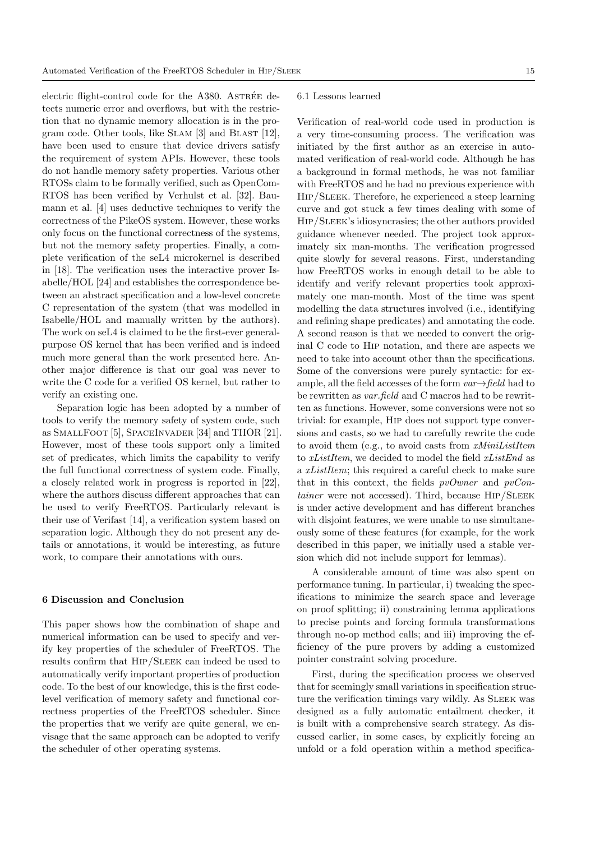electric flight-control code for the  $A380$ . AsTRÉE detects numeric error and overflows, but with the restriction that no dynamic memory allocation is in the program code. Other tools, like Slam [3] and Blast [12], have been used to ensure that device drivers satisfy the requirement of system APIs. However, these tools do not handle memory safety properties. Various other RTOSs claim to be formally verified, such as OpenCom-RTOS has been verified by Verhulst et al. [32]. Baumann et al. [4] uses deductive techniques to verify the correctness of the PikeOS system. However, these works only focus on the functional correctness of the systems, but not the memory safety properties. Finally, a complete verification of the seL4 microkernel is described in [18]. The verification uses the interactive prover Isabelle/HOL [24] and establishes the correspondence between an abstract specification and a low-level concrete C representation of the system (that was modelled in Isabelle/HOL and manually written by the authors). The work on seL4 is claimed to be the first-ever generalpurpose OS kernel that has been verified and is indeed much more general than the work presented here. Another major difference is that our goal was never to write the C code for a verified OS kernel, but rather to verify an existing one.

Separation logic has been adopted by a number of tools to verify the memory safety of system code, such as SmallFoot [5], SpaceInvader [34] and THOR [21]. However, most of these tools support only a limited set of predicates, which limits the capability to verify the full functional correctness of system code. Finally, a closely related work in progress is reported in [22], where the authors discuss different approaches that can be used to verify FreeRTOS. Particularly relevant is their use of Verifast [14], a verification system based on separation logic. Although they do not present any details or annotations, it would be interesting, as future work, to compare their annotations with ours.

#### 6 Discussion and Conclusion

This paper shows how the combination of shape and numerical information can be used to specify and verify key properties of the scheduler of FreeRTOS. The results confirm that Hip/Sleek can indeed be used to automatically verify important properties of production code. To the best of our knowledge, this is the first codelevel verification of memory safety and functional correctness properties of the FreeRTOS scheduler. Since the properties that we verify are quite general, we envisage that the same approach can be adopted to verify the scheduler of other operating systems.

#### 6.1 Lessons learned

Verification of real-world code used in production is a very time-consuming process. The verification was initiated by the first author as an exercise in automated verification of real-world code. Although he has a background in formal methods, he was not familiar with FreeRTOS and he had no previous experience with Hip/Sleek. Therefore, he experienced a steep learning curve and got stuck a few times dealing with some of Hip/Sleek's idiosyncrasies; the other authors provided guidance whenever needed. The project took approximately six man-months. The verification progressed quite slowly for several reasons. First, understanding how FreeRTOS works in enough detail to be able to identify and verify relevant properties took approximately one man-month. Most of the time was spent modelling the data structures involved (i.e., identifying and refining shape predicates) and annotating the code. A second reason is that we needed to convert the original C code to Hip notation, and there are aspects we need to take into account other than the specifications. Some of the conversions were purely syntactic: for example, all the field accesses of the form  $var \rightarrow field$  had to be rewritten as *var.field* and C macros had to be rewritten as functions. However, some conversions were not so trivial: for example, Hip does not support type conversions and casts, so we had to carefully rewrite the code to avoid them (e.g., to avoid casts from xMiniListItem to xListItem, we decided to model the field xListEnd as a xListItem; this required a careful check to make sure that in this context, the fields  $pvOwner$  and  $pvCon$  $tainer$  were not accessed). Third, because  $HIP/SLEEK$ is under active development and has different branches with disjoint features, we were unable to use simultaneously some of these features (for example, for the work described in this paper, we initially used a stable version which did not include support for lemmas).

A considerable amount of time was also spent on performance tuning. In particular, i) tweaking the specifications to minimize the search space and leverage on proof splitting; ii) constraining lemma applications to precise points and forcing formula transformations through no-op method calls; and iii) improving the efficiency of the pure provers by adding a customized pointer constraint solving procedure.

First, during the specification process we observed that for seemingly small variations in specification structure the verification timings vary wildly. As SLEEK was designed as a fully automatic entailment checker, it is built with a comprehensive search strategy. As discussed earlier, in some cases, by explicitly forcing an unfold or a fold operation within a method specifica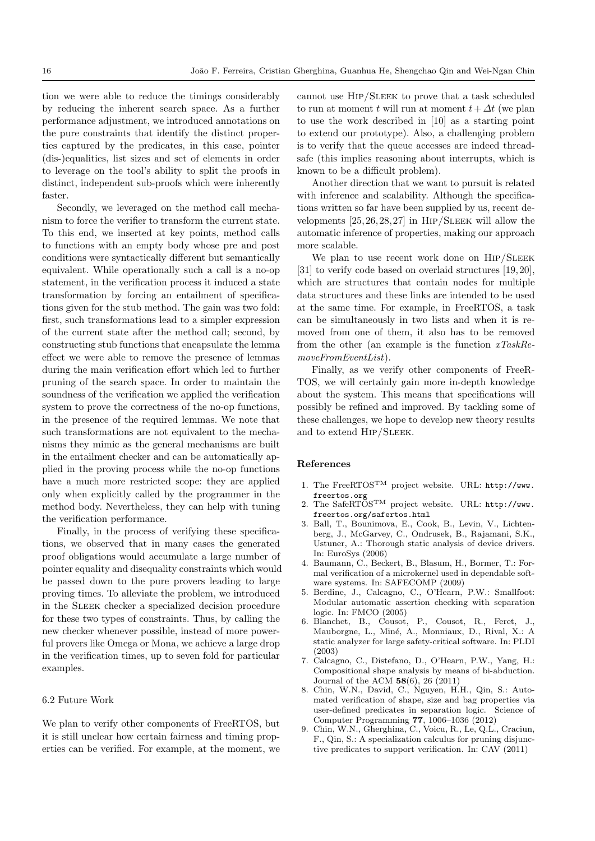tion we were able to reduce the timings considerably by reducing the inherent search space. As a further performance adjustment, we introduced annotations on the pure constraints that identify the distinct properties captured by the predicates, in this case, pointer (dis-)equalities, list sizes and set of elements in order to leverage on the tool's ability to split the proofs in distinct, independent sub-proofs which were inherently faster.

Secondly, we leveraged on the method call mechanism to force the verifier to transform the current state. To this end, we inserted at key points, method calls to functions with an empty body whose pre and post conditions were syntactically different but semantically equivalent. While operationally such a call is a no-op statement, in the verification process it induced a state transformation by forcing an entailment of specifications given for the stub method. The gain was two fold: first, such transformations lead to a simpler expression of the current state after the method call; second, by constructing stub functions that encapsulate the lemma effect we were able to remove the presence of lemmas during the main verification effort which led to further pruning of the search space. In order to maintain the soundness of the verification we applied the verification system to prove the correctness of the no-op functions, in the presence of the required lemmas. We note that such transformations are not equivalent to the mechanisms they mimic as the general mechanisms are built in the entailment checker and can be automatically applied in the proving process while the no-op functions have a much more restricted scope: they are applied only when explicitly called by the programmer in the method body. Nevertheless, they can help with tuning the verification performance.

Finally, in the process of verifying these specifications, we observed that in many cases the generated proof obligations would accumulate a large number of pointer equality and disequality constraints which would be passed down to the pure provers leading to large proving times. To alleviate the problem, we introduced in the SLEEK checker a specialized decision procedure for these two types of constraints. Thus, by calling the new checker whenever possible, instead of more powerful provers like Omega or Mona, we achieve a large drop in the verification times, up to seven fold for particular examples.

#### 6.2 Future Work

We plan to verify other components of FreeRTOS, but it is still unclear how certain fairness and timing properties can be verified. For example, at the moment, we cannot use Hip/Sleek to prove that a task scheduled to run at moment t will run at moment  $t + \Delta t$  (we plan to use the work described in [10] as a starting point to extend our prototype). Also, a challenging problem is to verify that the queue accesses are indeed threadsafe (this implies reasoning about interrupts, which is known to be a difficult problem).

Another direction that we want to pursuit is related with inference and scalability. Although the specifications written so far have been supplied by us, recent developments  $[25, 26, 28, 27]$  in HIP/SLEEK will allow the automatic inference of properties, making our approach more scalable.

We plan to use recent work done on HIP/SLEEK [31] to verify code based on overlaid structures [19, 20], which are structures that contain nodes for multiple data structures and these links are intended to be used at the same time. For example, in FreeRTOS, a task can be simultaneously in two lists and when it is removed from one of them, it also has to be removed from the other (an example is the function  $xTaskRe$ moveFromEventList).

Finally, as we verify other components of FreeR-TOS, we will certainly gain more in-depth knowledge about the system. This means that specifications will possibly be refined and improved. By tackling some of these challenges, we hope to develop new theory results and to extend Hip/Sleek.

# References

- 1. The FreeRTOSTM project website. URL: http://www. freertos.org
- 2. The SafeRTOSTM project website. URL: http://www. freertos.org/safertos.html
- 3. Ball, T., Bounimova, E., Cook, B., Levin, V., Lichtenberg, J., McGarvey, C., Ondrusek, B., Rajamani, S.K., Ustuner, A.: Thorough static analysis of device drivers. In: EuroSys (2006)
- 4. Baumann, C., Beckert, B., Blasum, H., Bormer, T.: Formal verification of a microkernel used in dependable software systems. In: SAFECOMP (2009)
- 5. Berdine, J., Calcagno, C., O'Hearn, P.W.: Smallfoot: Modular automatic assertion checking with separation logic. In: FMCO (2005)
- 6. Blanchet, B., Cousot, P., Cousot, R., Feret, J., Mauborgne, L., Miné, A., Monniaux, D., Rival, X.: A static analyzer for large safety-critical software. In: PLDI (2003)
- 7. Calcagno, C., Distefano, D., O'Hearn, P.W., Yang, H.: Compositional shape analysis by means of bi-abduction. Journal of the ACM 58(6), 26 (2011)
- 8. Chin, W.N., David, C., Nguyen, H.H., Qin, S.: Automated verification of shape, size and bag properties via user-defined predicates in separation logic. Science of Computer Programming 77, 1006–1036 (2012)
- 9. Chin, W.N., Gherghina, C., Voicu, R., Le, Q.L., Craciun, F., Qin, S.: A specialization calculus for pruning disjunctive predicates to support verification. In: CAV (2011)